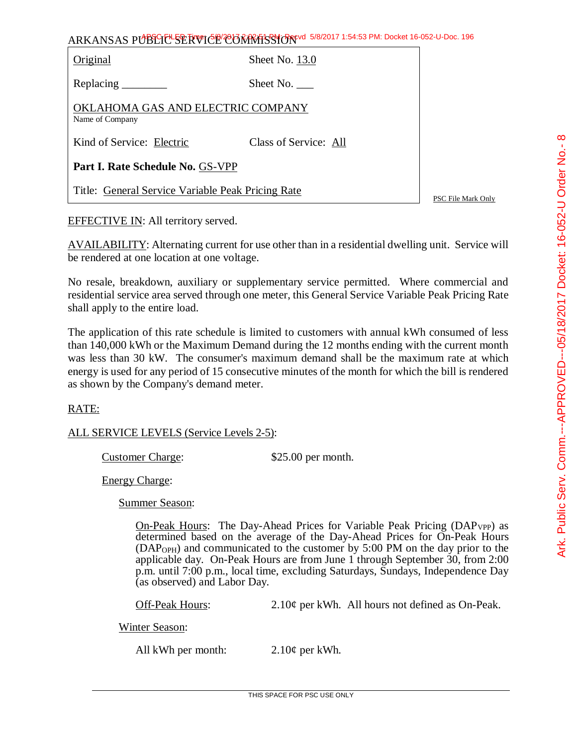## ARKANSAS PUBLIC SERVICE COMMISSION 5/8/2017 1:54:53 PM: Docket 16-052-U-Doc. 196 Original Sheet No. 13.0

| Replacing $\_\_\_\_\_\_\_\_\_\_\_\$                  | Sheet No. $\_\_$      |
|------------------------------------------------------|-----------------------|
| OKLAHOMA GAS AND ELECTRIC COMPANY<br>Name of Company |                       |
| Kind of Service: Electric                            | Class of Service: All |

**Part I. Rate Schedule No.** GS-VPP

Title: General Service Variable Peak Pricing Rate

PSC File Mark Only

EFFECTIVE IN: All territory served.

AVAILABILITY: Alternating current for use other than in a residential dwelling unit. Service will be rendered at one location at one voltage.

No resale, breakdown, auxiliary or supplementary service permitted. Where commercial and residential service area served through one meter, this General Service Variable Peak Pricing Rate shall apply to the entire load.

The application of this rate schedule is limited to customers with annual kWh consumed of less than 140,000 kWh or the Maximum Demand during the 12 months ending with the current month was less than 30 kW. The consumer's maximum demand shall be the maximum rate at which energy is used for any period of 15 consecutive minutes of the month for which the bill is rendered as shown by the Company's demand meter.

## RATE:

## ALL SERVICE LEVELS (Service Levels 2-5):

Customer Charge: \$25.00 per month.

Energy Charge:

Summer Season:

On-Peak Hours: The Day-Ahead Prices for Variable Peak Pricing  $(DAP_{VP})$  as determined based on the average of the Day-Ahead Prices for On-Peak Hours (DAPOPH) and communicated to the customer by 5:00 PM on the day prior to the applicable day. On-Peak Hours are from June 1 through September 30, from 2:00 p.m. until 7:00 p.m., local time, excluding Saturdays, Sundays, Independence Day (as observed) and Labor Day.

Off-Peak Hours: 2.10¢ per kWh. All hours not defined as On-Peak.

Winter Season:

All kWh per month:  $2.10¢$  per kWh.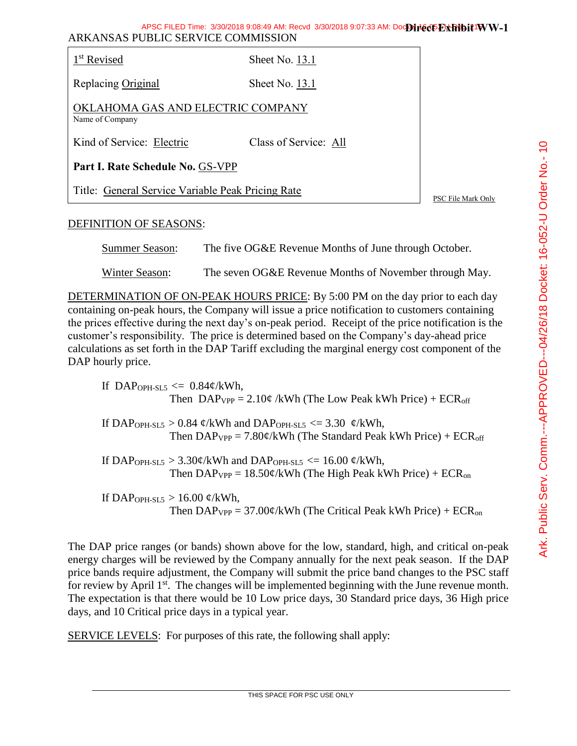| 1 <sup>st</sup> Revised                              | Sheet No. $13.1$      |                    |  |
|------------------------------------------------------|-----------------------|--------------------|--|
| Replacing Original                                   | Sheet No. 13.1        |                    |  |
| OKLAHOMA GAS AND ELECTRIC COMPANY<br>Name of Company |                       |                    |  |
| Kind of Service: Electric                            | Class of Service: All |                    |  |
| Part I. Rate Schedule No. GS-VPP                     |                       |                    |  |
| Title: General Service Variable Peak Pricing Rate    |                       | PSC File Mark Only |  |

## DEFINITION OF SEASONS:

Summer Season: The five OG&E Revenue Months of June through October.

Winter Season: The seven OG&E Revenue Months of November through May.

DETERMINATION OF ON-PEAK HOURS PRICE: By 5:00 PM on the day prior to each day containing on-peak hours, the Company will issue a price notification to customers containing the prices effective during the next day's on-peak period. Receipt of the price notification is the customer's responsibility. The price is determined based on the Company's day-ahead price calculations as set forth in the DAP Tariff excluding the marginal energy cost component of the DAP hourly price.

If DAP<sub>OPH-SL5</sub>  $\leq$  0.84¢/kWh, Then  $DAP_{VPP} = 2.10\phi$  /kWh (The Low Peak kWh Price) + ECR<sub>off</sub>

If DAP<sub>OPH-SL5</sub> > 0.84  $\phi$ /kWh and DAP<sub>OPH-SL5</sub> <= 3.30  $\phi$ /kWh, Then  $DAP_{VPP} = 7.80 \phi/kWh$  (The Standard Peak kWh Price) + ECR<sub>off</sub>

If DAP<sub>OPH-SL5</sub> >  $3.30 \phi$ /kWh and DAP<sub>OPH-SL5</sub> <= 16.00  $\phi$ /kWh, Then  $DAP_{VPP} = 18.50\phi/kWh$  (The High Peak kWh Price) + ECR<sub>on</sub>

If DAP<sub>OPH-SL5</sub>  $> 16.00 \text{ } \mathcal{C}/kWh$ , Then  $DAP_{VPP} = 37.00 \phi/kWh$  (The Critical Peak kWh Price) + ECR<sub>on</sub>

The DAP price ranges (or bands) shown above for the low, standard, high, and critical on-peak energy charges will be reviewed by the Company annually for the next peak season. If the DAP price bands require adjustment, the Company will submit the price band changes to the PSC staff for review by April 1<sup>st</sup>. The changes will be implemented beginning with the June revenue month. The expectation is that there would be 10 Low price days, 30 Standard price days, 36 High price days, and 10 Critical price days in a typical year.

SERVICE LEVELS: For purposes of this rate, the following shall apply: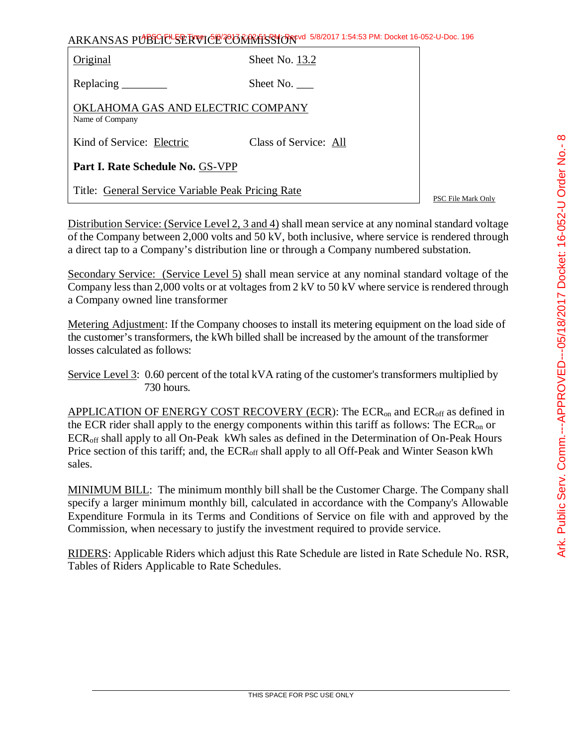| ARKANSAS PUBLICE SERVICE CONTRASSION 5/8/2017 1:54:53 PM: Docket 16-052-U-Doc. 196 |  |
|------------------------------------------------------------------------------------|--|
|------------------------------------------------------------------------------------|--|

| Original                                             | Sheet No. 13.2        |  |  |
|------------------------------------------------------|-----------------------|--|--|
|                                                      | Sheet No.             |  |  |
| OKLAHOMA GAS AND ELECTRIC COMPANY<br>Name of Company |                       |  |  |
| Kind of Service: Electric                            | Class of Service: All |  |  |
| Part I. Rate Schedule No. GS-VPP                     |                       |  |  |
| Title: General Service Variable Peak Pricing Rate    |                       |  |  |

PSC File Mark Only

Distribution Service: (Service Level 2, 3 and 4) shall mean service at any nominal standard voltage of the Company between 2,000 volts and 50 kV, both inclusive, where service is rendered through a direct tap to a Company's distribution line or through a Company numbered substation.

Secondary Service: (Service Level 5) shall mean service at any nominal standard voltage of the Company less than 2,000 volts or at voltages from 2 kV to 50 kV where service is rendered through a Company owned line transformer

Metering Adjustment: If the Company chooses to install its metering equipment on the load side of the customer's transformers, the kWh billed shall be increased by the amount of the transformer losses calculated as follows:

Service Level 3: 0.60 percent of the total kVA rating of the customer's transformers multiplied by 730 hours.

APPLICATION OF ENERGY COST RECOVERY (ECR): The  $ECR_{on}$  and  $ECR_{off}$  as defined in the ECR rider shall apply to the energy components within this tariff as follows: The  $ECR_{on}$  or ECRoff shall apply to all On-Peak kWh sales as defined in the Determination of On-Peak Hours Price section of this tariff; and, the ECR<sub>off</sub> shall apply to all Off-Peak and Winter Season kWh sales.

MINIMUM BILL: The minimum monthly bill shall be the Customer Charge. The Company shall specify a larger minimum monthly bill, calculated in accordance with the Company's Allowable Expenditure Formula in its Terms and Conditions of Service on file with and approved by the Commission, when necessary to justify the investment required to provide service.

RIDERS: Applicable Riders which adjust this Rate Schedule are listed in Rate Schedule No. RSR, Tables of Riders Applicable to Rate Schedules.